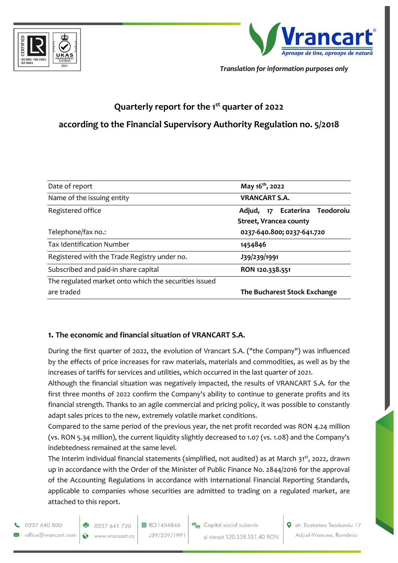



*Translation for information purposes only*

# **Quarterly report for the 1st quarter of 2022**

## **according to the Financial Supervisory Authority Regulation no. 5/2018**

| Date of report                                        | May 16 <sup>th</sup> , 2022   |  |  |
|-------------------------------------------------------|-------------------------------|--|--|
| Name of the issuing entity                            | <b>VRANCART S.A.</b>          |  |  |
| Registered office                                     | Adjud, 17 Ecaterina Teodoroiu |  |  |
|                                                       | <b>Street, Vrancea county</b> |  |  |
| Telephone/fax no.:                                    | 0237-640.800; 0237-641.720    |  |  |
| <b>Tax Identification Number</b>                      | 1454846                       |  |  |
| Registered with the Trade Registry under no.          | J39/239/1991                  |  |  |
| Subscribed and paid-in share capital                  | RON 120.338.551               |  |  |
| The regulated market onto which the securities issued |                               |  |  |
| are traded                                            | The Bucharest Stock Exchange  |  |  |

#### **1. The economic and financial situation of VRANCART S.A.**

During the first quarter of 2022, the evolution of Vrancart S.A. ("the Company") was influenced by the effects of price increases for raw materials, materials and commodities, as well as by the increases of tariffs for services and utilities, which occurred in the last quarter of 2021.

Although the financial situation was negatively impacted, the results of VRANCART S.A. for the first three months of 2022 confirm the Company's ability to continue to generate profits and its financial strength. Thanks to an agile commercial and pricing policy, it was possible to constantly adapt sales prices to the new, extremely volatile market conditions.

Compared to the same period of the previous year, the net profit recorded was RON 4.24 million (vs. RON 5.34 million), the current liquidity slightly decreased to 1.07 (vs. 1.08) and the Company's indebtedness remained at the same level.

The Interim individual financial statements (simplified, not audited) as at March 31<sup>st</sup>, 2022, drawn up in accordance with the Order of the Minister of Public Finance No. 2844/2016 for the approval of the Accounting Regulations in accordance with International Financial Reporting Standards, applicable to companies whose securities are admitted to trading on a regulated market, are attached to this report.

0237 640 800 office@vrancart.com



目 RO1454846 J39/239/1991

Capital social subscris si värsat 120.338.551,40 RON Str. Ecaterina Teodoroiu 17 Adjud-Vrancea, România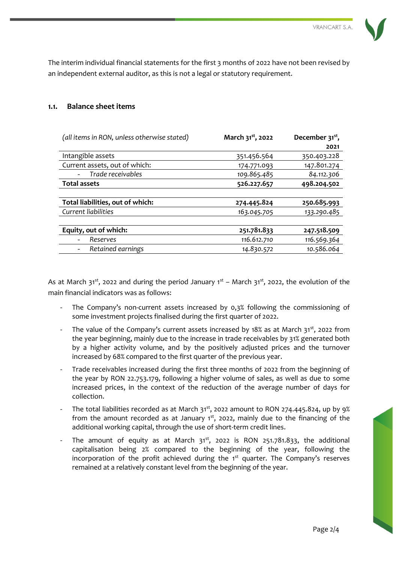The interim individual financial statements for the first 3 months of 2022 have not been revised by an independent external auditor, as this is not a legal or statutory requirement.

#### **1.1. Balance sheet items**

| (all items in RON, unless otherwise stated) | March 31 <sup>st</sup> , 2022 | December 31 <sup>st</sup> , |
|---------------------------------------------|-------------------------------|-----------------------------|
|                                             |                               | 2021                        |
| Intangible assets                           | 351.456.564                   | 350.403.228                 |
| Current assets, out of which:               | 174.771.093                   | 147.801.274                 |
| Trade receivables                           | 109.865.485                   | 84.112.306                  |
| <b>Total assets</b>                         | 526.227.657                   | 498.204.502                 |
|                                             |                               |                             |
| Total liabilities, out of which:            | 274.445.824                   | 250.685.993                 |
| Current liabilities                         | 163.045.705                   | 133.290.485                 |
|                                             |                               |                             |
| Equity, out of which:                       | 251.781.833                   | 247.518.509                 |
| Reserves                                    | 116.612.710                   | 116.569.364                 |
| Retained earnings                           | 14.830.572                    | 10.586.064                  |

As at March 31<sup>st</sup>, 2022 and during the period January  $1<sup>st</sup>$  – March 31<sup>st</sup>, 2022, the evolution of the main financial indicators was as follows:

- The Company's non-current assets increased by 0,3% following the commissioning of some investment projects finalised during the first quarter of 2022.
- The value of the Company's current assets increased by 18% as at March  $31<sup>st</sup>$ , 2022 from the year beginning, mainly due to the increase in trade receivables by 31% generated both by a higher activity volume, and by the positively adjusted prices and the turnover increased by 68% compared to the first quarter of the previous year.
- Trade receivables increased during the first three months of 2022 from the beginning of the year by RON 22.753.179, following a higher volume of sales, as well as due to some increased prices, in the context of the reduction of the average number of days for collection.
- The total liabilities recorded as at March  $31^{st}$ , 2022 amount to RON 274.445.824, up by 9% from the amount recorded as at January  $1<sup>st</sup>$ , 2022, mainly due to the financing of the additional working capital, through the use of short-term credit lines.
- The amount of equity as at March  $31<sup>st</sup>$ , 2022 is RON 251.781.833, the additional capitalisation being 2% compared to the beginning of the year, following the incorporation of the profit achieved during the  $1<sup>st</sup>$  quarter. The Company's reserves remained at a relatively constant level from the beginning of the year.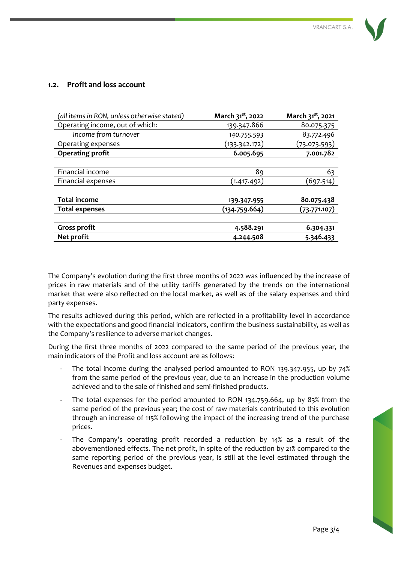

#### **1.2. Profit and loss account**

| (all items in RON, unless otherwise stated) | March 31 <sup>st</sup> , 2022 | March 31 <sup>st</sup> , 2021 |
|---------------------------------------------|-------------------------------|-------------------------------|
| Operating income, out of which:             | 139.347.866                   | 80.075.375                    |
| Income from turnover                        | 140.755.593                   | 83.772.496                    |
| Operating expenses                          | (133.342.172)                 | (73.073.593)                  |
| <b>Operating profit</b>                     | 6.005.695                     | 7.001.782                     |
|                                             |                               |                               |
| Financial income                            | 89                            | 63                            |
| Financial expenses                          | (1.417.492)                   | (697.514)                     |
|                                             |                               |                               |
| <b>Total income</b>                         | 139-347-955                   | 80.075.438                    |
| <b>Total expenses</b>                       | (134.759.664)                 | (73.771.107)                  |
|                                             |                               |                               |
| <b>Gross profit</b>                         | 4.588.291                     | 6.304.331                     |
| Net profit                                  | 4.244.508                     | 5.346.433                     |

The Company's evolution during the first three months of 2022 was influenced by the increase of prices in raw materials and of the utility tariffs generated by the trends on the international market that were also reflected on the local market, as well as of the salary expenses and third party expenses.

The results achieved during this period, which are reflected in a profitability level in accordance with the expectations and good financial indicators, confirm the business sustainability, as well as the Company's resilience to adverse market changes.

During the first three months of 2022 compared to the same period of the previous year, the main indicators of the Profit and loss account are as follows:

- The total income during the analysed period amounted to RON 139.347.955, up by 74% from the same period of the previous year, due to an increase in the production volume achieved and to the sale of finished and semi-finished products.
- The total expenses for the period amounted to RON 134.759.664, up by 83% from the same period of the previous year; the cost of raw materials contributed to this evolution through an increase of 115% following the impact of the increasing trend of the purchase prices.
- The Company's operating profit recorded a reduction by 14% as a result of the abovementioned effects. The net profit, in spite of the reduction by 21% compared to the same reporting period of the previous year, is still at the level estimated through the Revenues and expenses budget.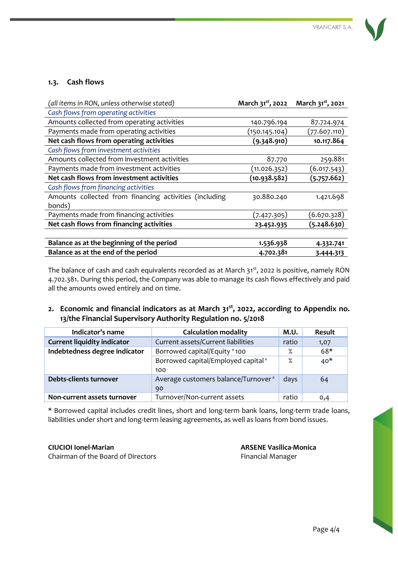#### **1.3. Cash flows**

| (all items in RON, unless otherwise stated)            | March 31 <sup>st</sup> , 2022 | March 31 <sup>st</sup> , 2021 |
|--------------------------------------------------------|-------------------------------|-------------------------------|
| Cash flows from operating activities                   |                               |                               |
| Amounts collected from operating activities            | 140.796.194                   | 87.724.974                    |
| Payments made from operating activities                | (150.145.104)                 | (77.607.110)                  |
| Net cash flows from operating activities               | (9.348.910)                   | 10.117.864                    |
| Cash flows from investment activities                  |                               |                               |
| Amounts collected from investment activities           | 87.770                        | 259.881                       |
| Payments made from investment activities               | (11.026.352)                  | (6.017.543)                   |
| Net cash flows from investment activities              | (10.938.582)                  | (5.757.662)                   |
| Cash flows from financing activities                   |                               |                               |
| Amounts collected from financing activities (including | 30.880.240                    | 1.421.698                     |
| bonds)                                                 |                               |                               |
| Payments made from financing activities                | (7.427.305)                   | (6.670.328)                   |
| Net cash flows from financing activities               | 23.452.935                    | (5.248.630)                   |
|                                                        |                               |                               |
| Balance as at the beginning of the period              | 1.536.938                     | 4.332.741                     |
| Balance as at the end of the period                    | 4.702.381                     | 3.444.313                     |

The balance of cash and cash equivalents recorded as at March 31<sup>st</sup>, 2022 is positive, namely RON 4.702.381. During this period, the Company was able to manage its cash flows effectively and paid all the amounts owed entirely and on time.

#### **2. Economic and financial indicators as at March 31st, 2022, according to Appendix no. 13/the Financial Supervisory Authority Regulation no. 5/2018**

| Indicator's name                   | <b>Calculation modality</b>                     | M.U.  | <b>Result</b> |
|------------------------------------|-------------------------------------------------|-------|---------------|
| <b>Current liquidity indicator</b> | Current assets/Current liabilities              | ratio | 1,07          |
| Indebtedness degree indicator      | Borrowed capital/Equity × 100                   | $\%$  | $68*$         |
|                                    | Borrowed capital/Employed capital <sup>x</sup>  |       | $40*$         |
|                                    | 100                                             |       |               |
| Debts-clients turnover             | Average customers balance/Turnover <sup>x</sup> | days  | 64            |
|                                    | 90                                              |       |               |
| Non-current assets turnover        | Turnover/Non-current assets                     | ratio | 0,4           |

\* Borrowed capital includes credit lines, short and long-term bank loans, long-term trade loans, liabilities under short and long-term leasing agreements, as well as loans from bond issues.

Chairman of the Board of Directors **Financial Manager** Financial Manager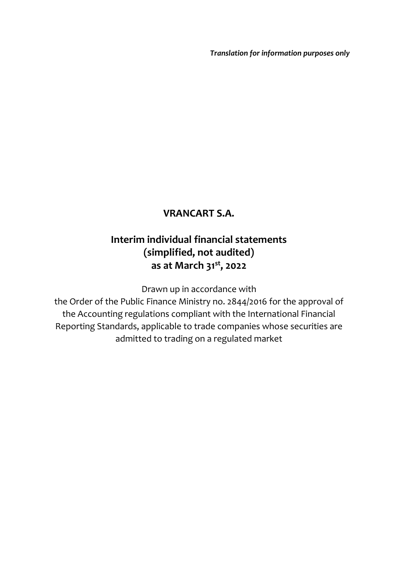*Translation for information purposes only*

## **VRANCART S.A.**

## **Interim individual financial statements (simplified, not audited) as at March 31st, 2022**

Drawn up in accordance with

the Order of the Public Finance Ministry no. 2844/2016 for the approval of the Accounting regulations compliant with the International Financial Reporting Standards, applicable to trade companies whose securities are admitted to trading on a regulated market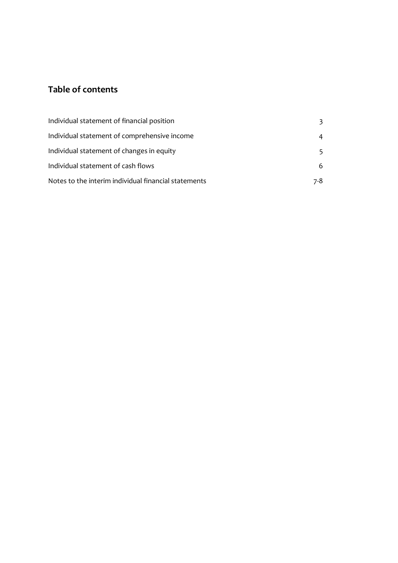## **Table of contents**

| Individual statement of financial position           | 3   |
|------------------------------------------------------|-----|
| Individual statement of comprehensive income         | 4   |
| Individual statement of changes in equity            | 5.  |
| Individual statement of cash flows                   | 6   |
| Notes to the interim individual financial statements | 7-8 |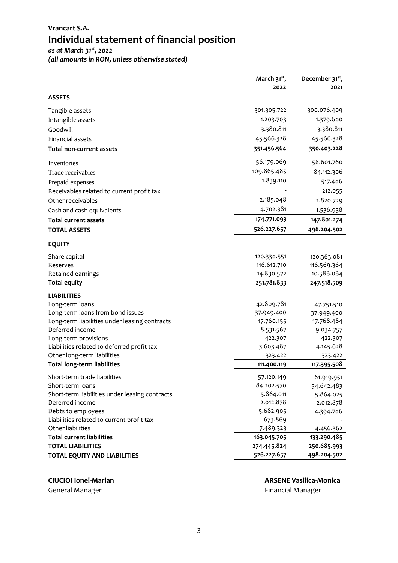## **Vrancart S.A. Individual statement of financial position**

*as at March 31st , 2022 (all amounts in RON, unless otherwise stated)*

|                                                | March $31^{st}$ , | December 31 <sup>st</sup> , |
|------------------------------------------------|-------------------|-----------------------------|
|                                                | 2022              | 2021                        |
| <b>ASSETS</b>                                  |                   |                             |
| Tangible assets                                | 301.305.722       | 300.076.409                 |
| Intangible assets                              | 1.203.703         | 1.379.680                   |
| Goodwill                                       | 3.380.811         | 3.380.811                   |
| Financial assets                               | 45.566.328        | 45.566.328                  |
| <b>Total non-current assets</b>                | 351.456.564       | 350.403.228                 |
| Inventories                                    | 56.179.069        | 58.601.760                  |
| Trade receivables                              | 109.865.485       | 84.112.306                  |
| Prepaid expenses                               | 1.839.110         | 517.486                     |
| Receivables related to current profit tax      |                   | 212.055                     |
| Other receivables                              | 2.185.048         | 2.820.729                   |
| Cash and cash equivalents                      | 4.702.381         | 1.536.938                   |
| <b>Total current assets</b>                    | 174.771.093       | 147.801.274                 |
| <b>TOTAL ASSETS</b>                            | 526.227.657       | 498.204.502                 |
|                                                |                   |                             |
| <b>EQUITY</b>                                  |                   |                             |
| Share capital                                  | 120.338.551       | 120.363.081                 |
| Reserves                                       | 116.612.710       | 116.569.364                 |
| Retained earnings                              | 14.830.572        | 10.586.064                  |
| <b>Total equity</b>                            | 251.781.833       | 247.518.509                 |
| <b>LIABILITIES</b>                             |                   |                             |
| Long-term loans                                | 42.809.781        | 47.751.510                  |
| Long-term loans from bond issues               | 37.949.400        | 37.949.400                  |
| Long-term liabilities under leasing contracts  | 17.760.155        | 17.768.484                  |
| Deferred income                                | 8.531.567         | 9.034.757                   |
| Long-term provisions                           | 422.307           | 422.307                     |
| Liabilities related to deferred profit tax     | 3.603.487         | 4.145.628                   |
| Other long-term liabilities                    | 323.422           | 323.422                     |
| <b>Total long-term liabilities</b>             | 111.400.119       | 117.395.508                 |
| Short-term trade liabilities                   | 57.120.149        | 61.919.951                  |
| Short-term loans                               | 84.202.570        | 54.642.483                  |
| Short-term liabilities under leasing contracts | 5.864.011         | 5.864.025                   |
| Deferred income                                | 2.012.878         | 2.012.878                   |
| Debts to employees                             | 5.682.905         | 4.394.786                   |
| Liabilities related to current profit tax      | 673.869           |                             |
| Other liabilities                              | 7.489.323         | 4.456.362                   |
| <b>Total current liabilities</b>               | 163.045.705       | 133.290.485                 |
| <b>TOTAL LIABILITIES</b>                       | 274.445.824       | 250.685.993                 |
| <b>TOTAL EQUITY AND LIABILITIES</b>            | 526.227.657       | 498.204.502                 |

# **CIUCIOI Ionel-Marian ARSENE Vasilica-Monica**

Financial Manager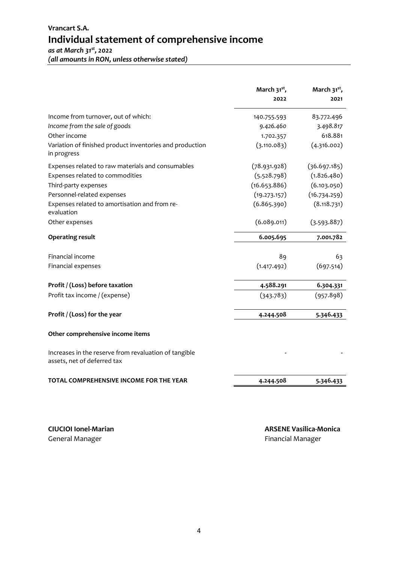| (all amounts in RON, unless otherwise stated) |  |
|-----------------------------------------------|--|
|-----------------------------------------------|--|

|                                                                                      | March 31 <sup>st</sup> ,<br>2022 | March 31 <sup>st</sup> ,<br>2021 |
|--------------------------------------------------------------------------------------|----------------------------------|----------------------------------|
| Income from turnover, out of which:                                                  | 140.755.593                      | 83.772.496                       |
| Income from the sale of goods                                                        | 9.426.460                        | 3.498.817                        |
| Other income                                                                         | 1.702.357                        | 618.881                          |
| Variation of finished product inventories and production<br>in progress              | (3.110.083)                      | (4.316.002)                      |
| Expenses related to raw materials and consumables                                    | (78.931.928)                     | (36.697.185)                     |
| Expenses related to commodities                                                      | (5.528.798)                      | (1.826.480)                      |
| Third-party expenses                                                                 | (16.653.886)                     | (6.103.050)                      |
| Personnel-related expenses                                                           | (19.273.157)                     | (16.734.259)                     |
| Expenses related to amortisation and from re-<br>evaluation                          | (6.865.390)                      | (8.118.731)                      |
| Other expenses                                                                       | (6.089.011)                      | (3.593.887)                      |
| <b>Operating result</b>                                                              | 6.005.695                        | 7.001.782                        |
| Financial income                                                                     | 89                               | 63                               |
| Financial expenses                                                                   | (1.417.492)                      | (697.514)                        |
| Profit / (Loss) before taxation                                                      | 4.588.291                        | 6.304.331                        |
| Profit tax income / (expense)                                                        | (343.783)                        | (957.898)                        |
| Profit / (Loss) for the year                                                         | 4.244.508                        | 5.346.433                        |
| Other comprehensive income items                                                     |                                  |                                  |
| Increases in the reserve from revaluation of tangible<br>assets, net of deferred tax |                                  |                                  |
| TOTAL COMPREHENSIVE INCOME FOR THE YEAR                                              | 4.244.508                        | 5.346.433                        |
|                                                                                      |                                  |                                  |

**CIUCIOI Ionel-Marian ARSENE Vasilica-Monica** Financial Manager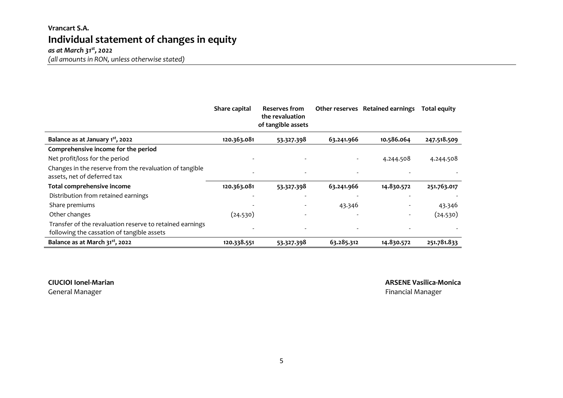## **Vrancart S.A. Individual statement of changes in equity**

*as at March 31st , 2022*

*(all amounts in RON, unless otherwise stated)*

|                                                                                                        | Share capital | Reserves from<br>the revaluation<br>of tangible assets |            | Other reserves Retained earnings | <b>Total equity</b> |
|--------------------------------------------------------------------------------------------------------|---------------|--------------------------------------------------------|------------|----------------------------------|---------------------|
| Balance as at January 1 <sup>st</sup> , 2022                                                           | 120.363.081   | 53.327.398                                             | 63.241.966 | 10.586.064                       | 247.518.509         |
| Comprehensive income for the period                                                                    |               |                                                        |            |                                  |                     |
| Net profit/loss for the period                                                                         |               |                                                        |            | 4.244.508                        | 4.244.508           |
| Changes in the reserve from the revaluation of tangible<br>assets, net of deferred tax                 |               |                                                        |            |                                  |                     |
| Total comprehensive income                                                                             | 120.363.081   | 53.327.398                                             | 63.241.966 | 14.830.572                       | 251.763.017         |
| Distribution from retained earnings                                                                    |               |                                                        |            |                                  |                     |
| Share premiums                                                                                         |               |                                                        | 43.346     |                                  | 43.346              |
| Other changes                                                                                          | (24.530)      |                                                        |            | $\overline{\phantom{a}}$         | (24.530)            |
| Transfer of the revaluation reserve to retained earnings<br>following the cassation of tangible assets |               |                                                        |            |                                  |                     |
| Balance as at March 31 <sup>st</sup> , 2022                                                            | 120.338.551   | 53.327.398                                             | 63.285.312 | 14.830.572                       | 251.781.833         |

#### **CIUCIOI Ionel-Marian ARSENE Vasilica-Monica**

General Manager Financial Manager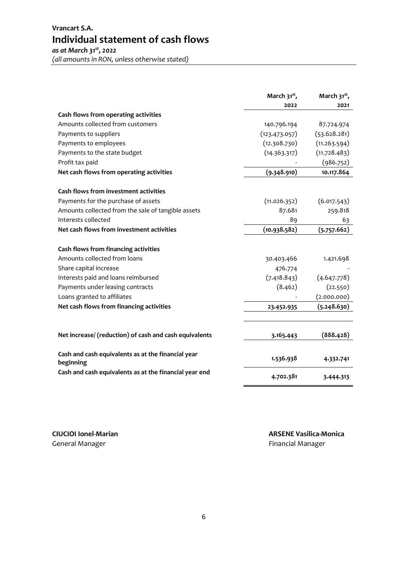## **Vrancart S.A. Individual statement of cash flows**

*as at March 31st , 2022 (all amounts in RON, unless otherwise stated)*

|                                                                 | March 31 <sup>st</sup> ,<br>2022 | March 31 <sup>st</sup> ,<br>2021 |
|-----------------------------------------------------------------|----------------------------------|----------------------------------|
| Cash flows from operating activities                            |                                  |                                  |
| Amounts collected from customers                                | 140.796.194                      | 87.724.974                       |
| Payments to suppliers                                           | (123.473.057)                    | (53.628.281)                     |
| Payments to employees                                           | (12.308.730)                     | (11.263.594)                     |
| Payments to the state budget                                    | (14.363.317)                     | (11.728.483)                     |
| Profit tax paid                                                 |                                  | (986.752)                        |
| Net cash flows from operating activities                        | (9.348.910)                      | 10.117.864                       |
| Cash flows from investment activities                           |                                  |                                  |
| Payments for the purchase of assets                             | (11.026.352)                     | (6.017.543)                      |
| Amounts collected from the sale of tangible assets              | 87.681                           | 259.818                          |
| Interests collected                                             | 89                               | 63                               |
| Net cash flows from investment activities                       | (10.938.582)                     | (5.757.662)                      |
| Cash flows from financing activities                            |                                  |                                  |
| Amounts collected from loans                                    | 30.403.466                       | 1.421.698                        |
| Share capital increase                                          | 476.774                          |                                  |
| Interests paid and loans reimbursed                             | (7.418.843)                      | (4.647.778)                      |
| Payments under leasing contracts                                | (8.462)                          | (22.550)                         |
| Loans granted to affiliates                                     |                                  | (2.000.000)                      |
| Net cash flows from financing activities                        | 23.452.935                       | (5.248.630)                      |
| Net increase/ (reduction) of cash and cash equivalents          | 3.165.443                        | (888.428)                        |
|                                                                 |                                  |                                  |
| Cash and cash equivalents as at the financial year<br>beginning | 1.536.938                        | 4.332.741                        |
| Cash and cash equivalents as at the financial year end          | 4.702.381                        | 3.444.313                        |

General Manager **Financial Manager Financial Manager Financial Manager**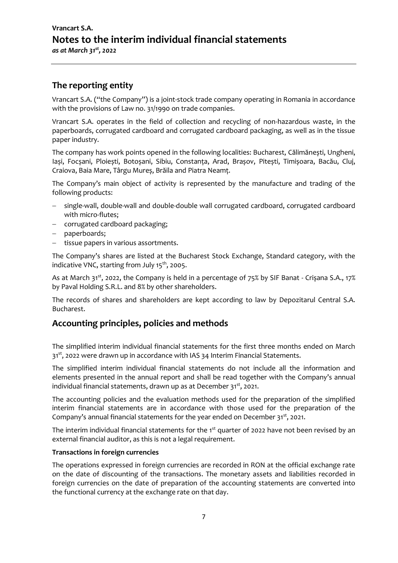## **Vrancart S.A. Notes to the interim individual financial statements**  *as at March 31st , 2022*

#### **The reporting entity**

Vrancart S.A. ("the Company") is a joint-stock trade company operating in Romania in accordance with the provisions of Law no. 31/1990 on trade companies.

Vrancart S.A. operates in the field of collection and recycling of non-hazardous waste, in the paperboards, corrugated cardboard and corrugated cardboard packaging, as well as in the tissue paper industry.

The company has work points opened in the following localities: Bucharest, Călimănești, Ungheni, Iași, Focșani, Ploiești, Botoșani, Sibiu, Constanța, Arad, Brașov, Pitești, Timișoara, Bacău, Cluj, Craiova, Baia Mare, Târgu Mureș, Brăila and Piatra Neamț.

The Company's main object of activity is represented by the manufacture and trading of the following products:

- − single-wall, double-wall and double-double wall corrugated cardboard, corrugated cardboard with micro-flutes;
- − corrugated cardboard packaging;
- − paperboards;
- − tissue papers in various assortments.

The Company's shares are listed at the Bucharest Stock Exchange, Standard category, with the indicative VNC, starting from July  $15^{th}$ , 2005.

As at March 31<sup>st</sup>, 2022, the Company is held in a percentage of 75% by SIF Banat - Crișana S.A., 17% by Paval Holding S.R.L. and 8% by other shareholders.

The records of shares and shareholders are kept according to law by Depozitarul Central S.A. Bucharest.

#### **Accounting principles, policies and methods**

The simplified interim individual financial statements for the first three months ended on March  $31<sup>st</sup>$ , 2022 were drawn up in accordance with IAS 34 Interim Financial Statements.

The simplified interim individual financial statements do not include all the information and elements presented in the annual report and shall be read together with the Company's annual individual financial statements, drawn up as at December  $31^{st}$ , 2021.

The accounting policies and the evaluation methods used for the preparation of the simplified interim financial statements are in accordance with those used for the preparation of the Company's annual financial statements for the year ended on December  $31^{st}$ , 2021.

The interim individual financial statements for the  $1<sup>st</sup>$  quarter of 2022 have not been revised by an external financial auditor, as this is not a legal requirement.

#### **Transactions in foreign currencies**

The operations expressed in foreign currencies are recorded in RON at the official exchange rate on the date of discounting of the transactions. The monetary assets and liabilities recorded in foreign currencies on the date of preparation of the accounting statements are converted into the functional currency at the exchange rate on that day.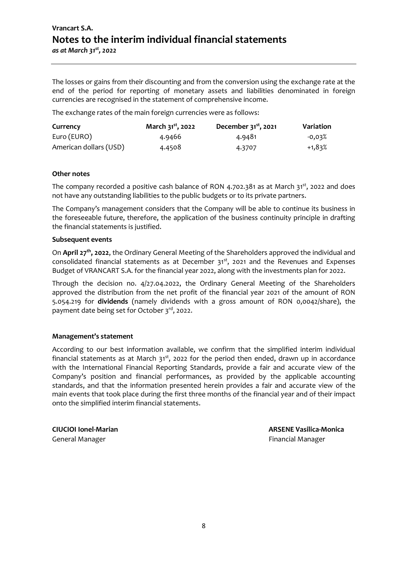The losses or gains from their discounting and from the conversion using the exchange rate at the end of the period for reporting of monetary assets and liabilities denominated in foreign currencies are recognised in the statement of comprehensive income.

The exchange rates of the main foreign currencies were as follows:

| Currency               | March 31 <sup>st</sup> , 2022 | December $31^{st}$ , 2021 | Variation |
|------------------------|-------------------------------|---------------------------|-----------|
| Euro (EURO)            | 4.9466                        | 4.9481                    | $-0.03\%$ |
| American dollars (USD) | 4.4508                        | 4.3707                    | +1,83%    |

#### **Other notes**

The company recorded a positive cash balance of RON 4.702.381 as at March  $31^{st}$ , 2022 and does not have any outstanding liabilities to the public budgets or to its private partners.

The Company's management considers that the Company will be able to continue its business in the foreseeable future, therefore, the application of the business continuity principle in drafting the financial statements is justified.

#### **Subsequent events**

On April 27<sup>th</sup>, 2022, the Ordinary General Meeting of the Shareholders approved the individual and consolidated financial statements as at December  $31^{st}$ , 2021 and the Revenues and Expenses Budget of VRANCART S.A. for the financial year 2022, along with the investments plan for 2022.

Through the decision no. 4/27.04.2022, the Ordinary General Meeting of the Shareholders approved the distribution from the net profit of the financial year 2021 of the amount of RON 5.054.219 for **dividends** (namely dividends with a gross amount of RON 0,0042/share), the payment date being set for October 3 rd, 2022.

#### **Management's statement**

According to our best information available, we confirm that the simplified interim individual financial statements as at March  $31^{st}$ , 2022 for the period then ended, drawn up in accordance with the International Financial Reporting Standards, provide a fair and accurate view of the Company's position and financial performances, as provided by the applicable accounting standards, and that the information presented herein provides a fair and accurate view of the main events that took place during the first three months of the financial year and of their impact onto the simplified interim financial statements.

General Manager Financial Manager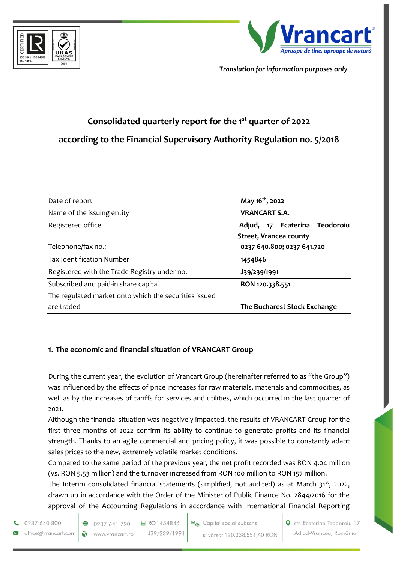



*Translation for information purposes only*

# **Consolidated quarterly report for the 1st quarter of 2022 according to the Financial Supervisory Authority Regulation no. 5/2018**

| Date of report                                        | May 16 <sup>th</sup> , 2022   |
|-------------------------------------------------------|-------------------------------|
| Name of the issuing entity                            | <b>VRANCART S.A.</b>          |
| Registered office                                     | Adjud, 17 Ecaterina Teodoroiu |
|                                                       | <b>Street, Vrancea county</b> |
| Telephone/fax no.:                                    | 0237-640.800; 0237-641.720    |
| <b>Tax Identification Number</b>                      | 1454846                       |
| Registered with the Trade Registry under no.          | J39/239/1991                  |
| Subscribed and paid-in share capital                  | RON 120.338.551               |
| The regulated market onto which the securities issued |                               |
| are traded                                            | The Bucharest Stock Exchange  |

#### **1. The economic and financial situation of VRANCART Group**

During the current year, the evolution of Vrancart Group (hereinafter referred to as "the Group") was influenced by the effects of price increases for raw materials, materials and commodities, as well as by the increases of tariffs for services and utilities, which occurred in the last quarter of 2021.

Although the financial situation was negatively impacted, the results of VRANCART Group for the first three months of 2022 confirm its ability to continue to generate profits and its financial strength. Thanks to an agile commercial and pricing policy, it was possible to constantly adapt sales prices to the new, extremely volatile market conditions.

Compared to the same period of the previous year, the net profit recorded was RON 4.04 million (vs. RON 5.53 million) and the turnover increased from RON 100 million to RON 157 million.

The Interim consolidated financial statements (simplified, not audited) as at March 31<sup>st</sup>, 2022, drawn up in accordance with the Order of the Minister of Public Finance No. 2844/2016 for the approval of the Accounting Regulations in accordance with International Financial Reporting

0237 640 800

office@vrancart.com  $\bullet$ 

● 0237 641 720 www.vrancart.ro 目 RO1454846 J39/239/1991

Capital social subscris și vărsat 120.338.551,40 RON Str. Ecaterina Teodoroiu 17 Adjud-Vrancea, România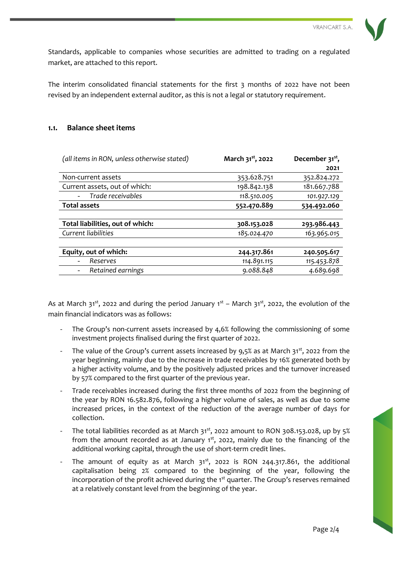

Standards, applicable to companies whose securities are admitted to trading on a regulated market, are attached to this report.

The interim consolidated financial statements for the first 3 months of 2022 have not been revised by an independent external auditor, as this is not a legal or statutory requirement.

#### **1.1. Balance sheet items**

| (all items in RON, unless otherwise stated) | March 31 <sup>st</sup> , 2022 | December 31 <sup>st</sup> , |
|---------------------------------------------|-------------------------------|-----------------------------|
|                                             |                               | 2021                        |
| Non-current assets                          | 353.628.751                   | 352.824.272                 |
| Current assets, out of which:               | 198.842.138                   | 181.667.788                 |
| Trade receivables                           | 118.510.005                   | 101.927.129                 |
| <b>Total assets</b>                         | 552.470.889                   | 534.492.060                 |
|                                             |                               |                             |
| Total liabilities, out of which:            | 308.153.028                   | 293.986.443                 |
| Current liabilities                         | 185.024.470                   | 163.965.015                 |
|                                             |                               |                             |
| Equity, out of which:                       | 244.317.861                   | 240.505.617                 |
| Reserves<br>-                               | 114.891.115                   | 115.453.878                 |
| Retained earnings                           | 9.088.848                     | 4.689.698                   |

As at March 31<sup>st</sup>, 2022 and during the period January  $1^{st}$  – March 31<sup>st</sup>, 2022, the evolution of the main financial indicators was as follows:

- The Group's non-current assets increased by  $4.6%$  following the commissioning of some investment projects finalised during the first quarter of 2022.
- The value of the Group's current assets increased by 9,5% as at March  $31^{st}$ , 2022 from the year beginning, mainly due to the increase in trade receivables by 16% generated both by a higher activity volume, and by the positively adjusted prices and the turnover increased by 57% compared to the first quarter of the previous year.
- Trade receivables increased during the first three months of 2022 from the beginning of the year by RON 16.582.876, following a higher volume of sales, as well as due to some increased prices, in the context of the reduction of the average number of days for collection.
- The total liabilities recorded as at March  $31<sup>st</sup>$ , 2022 amount to RON 308.153.028, up by 5% from the amount recorded as at January  $1<sup>st</sup>$ , 2022, mainly due to the financing of the additional working capital, through the use of short-term credit lines.
- The amount of equity as at March  $31^{st}$ , 2022 is RON 244.317.861, the additional capitalisation being 2% compared to the beginning of the year, following the incorporation of the profit achieved during the  $1<sup>st</sup>$  quarter. The Group's reserves remained at a relatively constant level from the beginning of the year.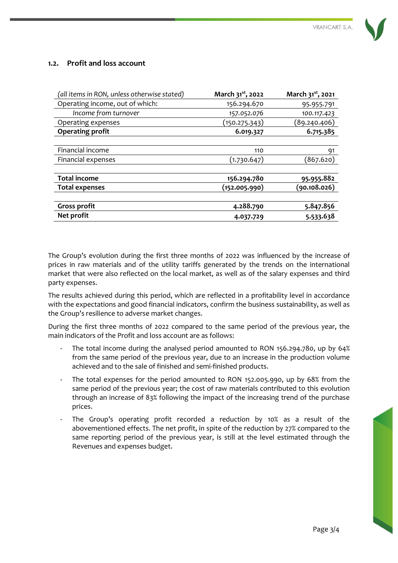

#### **1.2. Profit and loss account**

| (all items in RON, unless otherwise stated) | March 31 <sup>st</sup> , 2022 | March 31 <sup>st</sup> , 2021 |
|---------------------------------------------|-------------------------------|-------------------------------|
| Operating income, out of which:             | 156.294.670                   | 95.955.791                    |
| Income from turnover                        | 157.052.076                   | 100.117.423                   |
| Operating expenses                          | (150.275.343)                 | (89.240.406)                  |
| <b>Operating profit</b>                     | 6.019.327                     | 6.715.385                     |
|                                             |                               |                               |
| Financial income                            | 110                           | 91                            |
| <b>Financial expenses</b>                   | (1.730.647)                   | (867.620)                     |
|                                             |                               |                               |
| <b>Total income</b>                         | 156.294.780                   | 95.955.882                    |
| <b>Total expenses</b>                       | (152.005.990)                 | (90.108.026)                  |
|                                             |                               |                               |
| <b>Gross profit</b>                         | 4.288.790                     | 5.847.856                     |
| Net profit                                  | 4.037.729                     | 5.533.638                     |

The Group's evolution during the first three months of 2022 was influenced by the increase of prices in raw materials and of the utility tariffs generated by the trends on the international market that were also reflected on the local market, as well as of the salary expenses and third party expenses.

The results achieved during this period, which are reflected in a profitability level in accordance with the expectations and good financial indicators, confirm the business sustainability, as well as the Group's resilience to adverse market changes.

During the first three months of 2022 compared to the same period of the previous year, the main indicators of the Profit and loss account are as follows:

- The total income during the analysed period amounted to RON 156.294.780, up by 64% from the same period of the previous year, due to an increase in the production volume achieved and to the sale of finished and semi-finished products.
- The total expenses for the period amounted to RON 152.005.990, up by 68% from the same period of the previous year; the cost of raw materials contributed to this evolution through an increase of 83% following the impact of the increasing trend of the purchase prices.
- The Group's operating profit recorded a reduction by 10% as a result of the abovementioned effects. The net profit, in spite of the reduction by 27% compared to the same reporting period of the previous year, is still at the level estimated through the Revenues and expenses budget.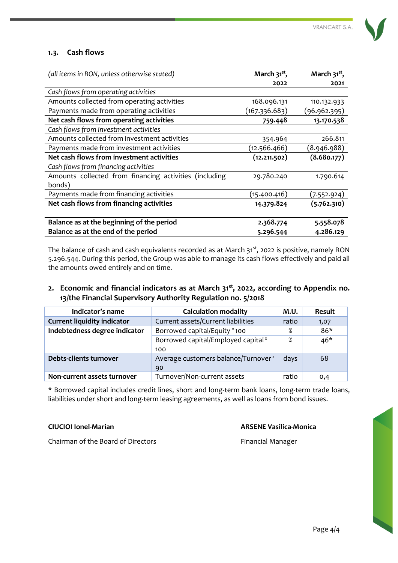#### **1.3. Cash flows**

| 2022<br>2021<br>Cash flows from operating activities<br>Amounts collected from operating activities<br>168.096.131<br>110.132.933<br>Payments made from operating activities<br>(167.336.683)<br>(96.962.395)<br>Net cash flows from operating activities<br>13.170.538<br>759.448<br>Cash flows from investment activities<br>Amounts collected from investment activities<br>266.811<br>354.964<br>Payments made from investment activities<br>(12.566.466)<br>(8.946.988)<br>Net cash flows from investment activities<br>(8.680.177)<br>(12.211.502)<br>Cash flows from financing activities<br>Amounts collected from financing activities (including<br>29.780.240<br>1.790.614<br>bonds)<br>Payments made from financing activities<br>(15.400.416)<br>(7.552.924)<br>Net cash flows from financing activities<br>(5.762.310)<br>14.379.824<br>Balance as at the beginning of the period<br>5.558.078<br>2.368.774<br>Balance as at the end of the period<br>4.286.129<br>5.296.544 | (all items in RON, unless otherwise stated) | March $31^{st}$ , | March 31 <sup>st</sup> , |
|--------------------------------------------------------------------------------------------------------------------------------------------------------------------------------------------------------------------------------------------------------------------------------------------------------------------------------------------------------------------------------------------------------------------------------------------------------------------------------------------------------------------------------------------------------------------------------------------------------------------------------------------------------------------------------------------------------------------------------------------------------------------------------------------------------------------------------------------------------------------------------------------------------------------------------------------------------------------------------------------|---------------------------------------------|-------------------|--------------------------|
|                                                                                                                                                                                                                                                                                                                                                                                                                                                                                                                                                                                                                                                                                                                                                                                                                                                                                                                                                                                            |                                             |                   |                          |
|                                                                                                                                                                                                                                                                                                                                                                                                                                                                                                                                                                                                                                                                                                                                                                                                                                                                                                                                                                                            |                                             |                   |                          |
|                                                                                                                                                                                                                                                                                                                                                                                                                                                                                                                                                                                                                                                                                                                                                                                                                                                                                                                                                                                            |                                             |                   |                          |
|                                                                                                                                                                                                                                                                                                                                                                                                                                                                                                                                                                                                                                                                                                                                                                                                                                                                                                                                                                                            |                                             |                   |                          |
|                                                                                                                                                                                                                                                                                                                                                                                                                                                                                                                                                                                                                                                                                                                                                                                                                                                                                                                                                                                            |                                             |                   |                          |
|                                                                                                                                                                                                                                                                                                                                                                                                                                                                                                                                                                                                                                                                                                                                                                                                                                                                                                                                                                                            |                                             |                   |                          |
|                                                                                                                                                                                                                                                                                                                                                                                                                                                                                                                                                                                                                                                                                                                                                                                                                                                                                                                                                                                            |                                             |                   |                          |
|                                                                                                                                                                                                                                                                                                                                                                                                                                                                                                                                                                                                                                                                                                                                                                                                                                                                                                                                                                                            |                                             |                   |                          |
|                                                                                                                                                                                                                                                                                                                                                                                                                                                                                                                                                                                                                                                                                                                                                                                                                                                                                                                                                                                            |                                             |                   |                          |
|                                                                                                                                                                                                                                                                                                                                                                                                                                                                                                                                                                                                                                                                                                                                                                                                                                                                                                                                                                                            |                                             |                   |                          |
|                                                                                                                                                                                                                                                                                                                                                                                                                                                                                                                                                                                                                                                                                                                                                                                                                                                                                                                                                                                            |                                             |                   |                          |
|                                                                                                                                                                                                                                                                                                                                                                                                                                                                                                                                                                                                                                                                                                                                                                                                                                                                                                                                                                                            |                                             |                   |                          |
|                                                                                                                                                                                                                                                                                                                                                                                                                                                                                                                                                                                                                                                                                                                                                                                                                                                                                                                                                                                            |                                             |                   |                          |
|                                                                                                                                                                                                                                                                                                                                                                                                                                                                                                                                                                                                                                                                                                                                                                                                                                                                                                                                                                                            |                                             |                   |                          |
|                                                                                                                                                                                                                                                                                                                                                                                                                                                                                                                                                                                                                                                                                                                                                                                                                                                                                                                                                                                            |                                             |                   |                          |
|                                                                                                                                                                                                                                                                                                                                                                                                                                                                                                                                                                                                                                                                                                                                                                                                                                                                                                                                                                                            |                                             |                   |                          |
|                                                                                                                                                                                                                                                                                                                                                                                                                                                                                                                                                                                                                                                                                                                                                                                                                                                                                                                                                                                            |                                             |                   |                          |

The balance of cash and cash equivalents recorded as at March 31<sup>st</sup>, 2022 is positive, namely RON 5.296.544. During this period, the Group was able to manage its cash flows effectively and paid all the amounts owed entirely and on time.

**2. Economic and financial indicators as at March 31st, 2022, according to Appendix no. 13/the Financial Supervisory Authority Regulation no. 5/2018**

| Indicator's name                   | <b>Calculation modality</b>                     |       | <b>Result</b> |
|------------------------------------|-------------------------------------------------|-------|---------------|
| <b>Current liquidity indicator</b> | Current assets/Current liabilities              | ratio | 1,07          |
| Indebtedness degree indicator      | Borrowed capital/Equity × 100                   | %     | $86*$         |
|                                    | Borrowed capital/Employed capital <sup>x</sup>  | $\%$  | $46*$         |
|                                    | 100                                             |       |               |
| Debts-clients turnover             | Average customers balance/Turnover <sup>x</sup> | days  | 68            |
|                                    | 90                                              |       |               |
| Non-current assets turnover        | Turnover/Non-current assets                     | ratio | 0,4           |

\* Borrowed capital includes credit lines, short and long-term bank loans, long-term trade loans, liabilities under short and long-term leasing agreements, as well as loans from bond issues.

#### **CIUCIOI Ionel-Marian ARSENE Vasilica-Monica**

Chairman of the Board of Directors **Financial Manager** Financial Manager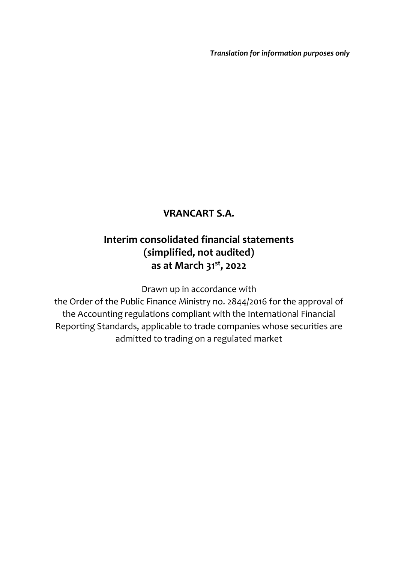*Translation for information purposes only*

## **VRANCART S.A.**

# **Interim consolidated financial statements (simplified, not audited) as at March 31st , 2022**

Drawn up in accordance with

the Order of the Public Finance Ministry no. 2844/2016 for the approval of the Accounting regulations compliant with the International Financial Reporting Standards, applicable to trade companies whose securities are admitted to trading on a regulated market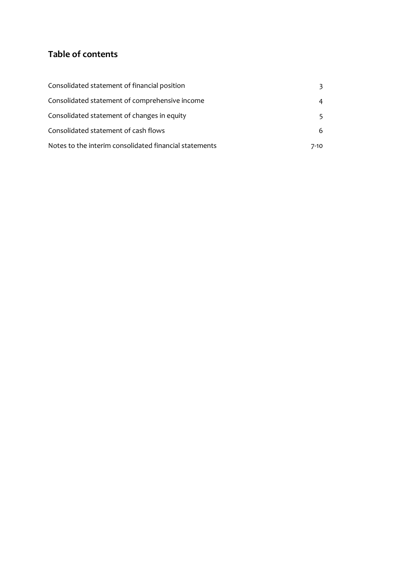## **Table of contents**

| Consolidated statement of financial position           | 3.   |
|--------------------------------------------------------|------|
| Consolidated statement of comprehensive income         | 4    |
| Consolidated statement of changes in equity            | 5.   |
| Consolidated statement of cash flows                   | 6    |
| Notes to the interim consolidated financial statements | 7-10 |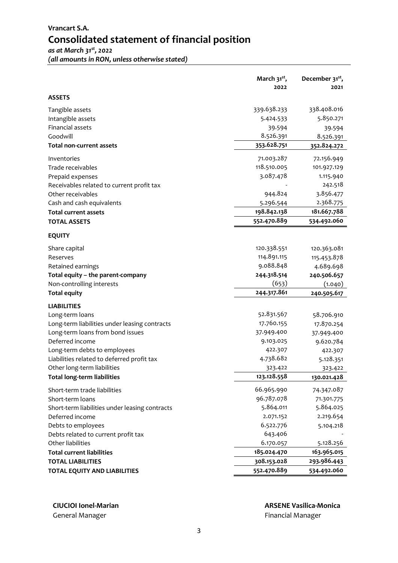## **Vrancart S.A. Consolidated statement of financial position**

*as at March 31st , 2022 (all amounts in RON, unless otherwise stated)*

| 2022<br>2021<br><b>ASSETS</b><br>338.408.016<br>339.638.233<br>Tangible assets<br>5.850.271<br>Intangible assets<br>5.424.533<br>Financial assets<br>39.594<br>39.594<br>8.526.391<br>Goodwill<br>8.526.391<br>353.628.751<br>352.824.272<br>71.003.287<br>72.156.949<br>Inventories<br>118.510.005<br>101.927.129<br>Trade receivables<br>3.087.478<br>1.115.940<br>Prepaid expenses<br>242.518<br>944.824<br>3.856.477<br>Other receivables<br>2.368.775<br>5.296.544<br>Cash and cash equivalents<br>181.667.788<br>198.842.138<br><b>Total current assets</b><br>552.470.889<br>534.492.060<br><b>TOTAL ASSETS</b><br>120.338.551<br>Share capital<br>120.363.081<br>114.891.115<br>115.453.878<br>Reserves<br>9.088.848<br>4.689.698<br>Retained earnings<br>244.318.514<br>Total equity - the parent-company<br>240.506.657<br>(653)<br>Non-controlling interests<br>(1.040)<br>244.317.861<br><b>Total equity</b><br>240.505.617<br><b>LIABILITIES</b><br>52.831.567<br>58.706.910<br>Long-term loans<br>17.760.155<br>Long-term liabilities under leasing contracts<br>17.870.254<br>Long-term loans from bond issues<br>37.949.400<br>37.949.400<br>Deferred income<br>9.103.025<br>9.620.784<br>422.307<br>Long-term debts to employees<br>422.307<br>4.738.682<br>Liabilities related to deferred profit tax<br>5.128.351<br>Other long-term liabilities<br>323.422<br>323.422<br>123.128.558<br><b>Total long-term liabilities</b><br>130.021.428<br>66.965.990<br>74.347.087<br>Short-term trade liabilities<br>96.787.078<br>71.301.775<br>5.864.011<br>5.864.025<br>Deferred income<br>2.219.654<br>2.071.152<br>6.522.776<br>Debts to employees<br>5.104.218<br>643.406<br>Debts related to current profit tax<br>6.170.057<br>5.128.256<br>Other liabilities<br>163.965.015<br><b>Total current liabilities</b><br>185.024.470<br>308.153.028<br>293.986.443<br><b>TOTAL LIABILITIES</b><br>534.492.060<br><b>TOTAL EQUITY AND LIABILITIES</b><br>552.470.889 |                                                | March $31^{st}$ , | December 31 <sup>st</sup> , |
|--------------------------------------------------------------------------------------------------------------------------------------------------------------------------------------------------------------------------------------------------------------------------------------------------------------------------------------------------------------------------------------------------------------------------------------------------------------------------------------------------------------------------------------------------------------------------------------------------------------------------------------------------------------------------------------------------------------------------------------------------------------------------------------------------------------------------------------------------------------------------------------------------------------------------------------------------------------------------------------------------------------------------------------------------------------------------------------------------------------------------------------------------------------------------------------------------------------------------------------------------------------------------------------------------------------------------------------------------------------------------------------------------------------------------------------------------------------------------------------------------------------------------------------------------------------------------------------------------------------------------------------------------------------------------------------------------------------------------------------------------------------------------------------------------------------------------------------------------------------------------------------------------------------------------------------------------------------------------------|------------------------------------------------|-------------------|-----------------------------|
|                                                                                                                                                                                                                                                                                                                                                                                                                                                                                                                                                                                                                                                                                                                                                                                                                                                                                                                                                                                                                                                                                                                                                                                                                                                                                                                                                                                                                                                                                                                                                                                                                                                                                                                                                                                                                                                                                                                                                                                |                                                |                   |                             |
|                                                                                                                                                                                                                                                                                                                                                                                                                                                                                                                                                                                                                                                                                                                                                                                                                                                                                                                                                                                                                                                                                                                                                                                                                                                                                                                                                                                                                                                                                                                                                                                                                                                                                                                                                                                                                                                                                                                                                                                |                                                |                   |                             |
|                                                                                                                                                                                                                                                                                                                                                                                                                                                                                                                                                                                                                                                                                                                                                                                                                                                                                                                                                                                                                                                                                                                                                                                                                                                                                                                                                                                                                                                                                                                                                                                                                                                                                                                                                                                                                                                                                                                                                                                |                                                |                   |                             |
|                                                                                                                                                                                                                                                                                                                                                                                                                                                                                                                                                                                                                                                                                                                                                                                                                                                                                                                                                                                                                                                                                                                                                                                                                                                                                                                                                                                                                                                                                                                                                                                                                                                                                                                                                                                                                                                                                                                                                                                |                                                |                   |                             |
|                                                                                                                                                                                                                                                                                                                                                                                                                                                                                                                                                                                                                                                                                                                                                                                                                                                                                                                                                                                                                                                                                                                                                                                                                                                                                                                                                                                                                                                                                                                                                                                                                                                                                                                                                                                                                                                                                                                                                                                |                                                |                   |                             |
|                                                                                                                                                                                                                                                                                                                                                                                                                                                                                                                                                                                                                                                                                                                                                                                                                                                                                                                                                                                                                                                                                                                                                                                                                                                                                                                                                                                                                                                                                                                                                                                                                                                                                                                                                                                                                                                                                                                                                                                |                                                |                   |                             |
|                                                                                                                                                                                                                                                                                                                                                                                                                                                                                                                                                                                                                                                                                                                                                                                                                                                                                                                                                                                                                                                                                                                                                                                                                                                                                                                                                                                                                                                                                                                                                                                                                                                                                                                                                                                                                                                                                                                                                                                | <b>Total non-current assets</b>                |                   |                             |
|                                                                                                                                                                                                                                                                                                                                                                                                                                                                                                                                                                                                                                                                                                                                                                                                                                                                                                                                                                                                                                                                                                                                                                                                                                                                                                                                                                                                                                                                                                                                                                                                                                                                                                                                                                                                                                                                                                                                                                                |                                                |                   |                             |
|                                                                                                                                                                                                                                                                                                                                                                                                                                                                                                                                                                                                                                                                                                                                                                                                                                                                                                                                                                                                                                                                                                                                                                                                                                                                                                                                                                                                                                                                                                                                                                                                                                                                                                                                                                                                                                                                                                                                                                                |                                                |                   |                             |
|                                                                                                                                                                                                                                                                                                                                                                                                                                                                                                                                                                                                                                                                                                                                                                                                                                                                                                                                                                                                                                                                                                                                                                                                                                                                                                                                                                                                                                                                                                                                                                                                                                                                                                                                                                                                                                                                                                                                                                                |                                                |                   |                             |
|                                                                                                                                                                                                                                                                                                                                                                                                                                                                                                                                                                                                                                                                                                                                                                                                                                                                                                                                                                                                                                                                                                                                                                                                                                                                                                                                                                                                                                                                                                                                                                                                                                                                                                                                                                                                                                                                                                                                                                                | Receivables related to current profit tax      |                   |                             |
|                                                                                                                                                                                                                                                                                                                                                                                                                                                                                                                                                                                                                                                                                                                                                                                                                                                                                                                                                                                                                                                                                                                                                                                                                                                                                                                                                                                                                                                                                                                                                                                                                                                                                                                                                                                                                                                                                                                                                                                |                                                |                   |                             |
|                                                                                                                                                                                                                                                                                                                                                                                                                                                                                                                                                                                                                                                                                                                                                                                                                                                                                                                                                                                                                                                                                                                                                                                                                                                                                                                                                                                                                                                                                                                                                                                                                                                                                                                                                                                                                                                                                                                                                                                |                                                |                   |                             |
|                                                                                                                                                                                                                                                                                                                                                                                                                                                                                                                                                                                                                                                                                                                                                                                                                                                                                                                                                                                                                                                                                                                                                                                                                                                                                                                                                                                                                                                                                                                                                                                                                                                                                                                                                                                                                                                                                                                                                                                |                                                |                   |                             |
|                                                                                                                                                                                                                                                                                                                                                                                                                                                                                                                                                                                                                                                                                                                                                                                                                                                                                                                                                                                                                                                                                                                                                                                                                                                                                                                                                                                                                                                                                                                                                                                                                                                                                                                                                                                                                                                                                                                                                                                |                                                |                   |                             |
|                                                                                                                                                                                                                                                                                                                                                                                                                                                                                                                                                                                                                                                                                                                                                                                                                                                                                                                                                                                                                                                                                                                                                                                                                                                                                                                                                                                                                                                                                                                                                                                                                                                                                                                                                                                                                                                                                                                                                                                | <b>EQUITY</b>                                  |                   |                             |
|                                                                                                                                                                                                                                                                                                                                                                                                                                                                                                                                                                                                                                                                                                                                                                                                                                                                                                                                                                                                                                                                                                                                                                                                                                                                                                                                                                                                                                                                                                                                                                                                                                                                                                                                                                                                                                                                                                                                                                                |                                                |                   |                             |
|                                                                                                                                                                                                                                                                                                                                                                                                                                                                                                                                                                                                                                                                                                                                                                                                                                                                                                                                                                                                                                                                                                                                                                                                                                                                                                                                                                                                                                                                                                                                                                                                                                                                                                                                                                                                                                                                                                                                                                                |                                                |                   |                             |
|                                                                                                                                                                                                                                                                                                                                                                                                                                                                                                                                                                                                                                                                                                                                                                                                                                                                                                                                                                                                                                                                                                                                                                                                                                                                                                                                                                                                                                                                                                                                                                                                                                                                                                                                                                                                                                                                                                                                                                                |                                                |                   |                             |
|                                                                                                                                                                                                                                                                                                                                                                                                                                                                                                                                                                                                                                                                                                                                                                                                                                                                                                                                                                                                                                                                                                                                                                                                                                                                                                                                                                                                                                                                                                                                                                                                                                                                                                                                                                                                                                                                                                                                                                                |                                                |                   |                             |
|                                                                                                                                                                                                                                                                                                                                                                                                                                                                                                                                                                                                                                                                                                                                                                                                                                                                                                                                                                                                                                                                                                                                                                                                                                                                                                                                                                                                                                                                                                                                                                                                                                                                                                                                                                                                                                                                                                                                                                                |                                                |                   |                             |
|                                                                                                                                                                                                                                                                                                                                                                                                                                                                                                                                                                                                                                                                                                                                                                                                                                                                                                                                                                                                                                                                                                                                                                                                                                                                                                                                                                                                                                                                                                                                                                                                                                                                                                                                                                                                                                                                                                                                                                                |                                                |                   |                             |
|                                                                                                                                                                                                                                                                                                                                                                                                                                                                                                                                                                                                                                                                                                                                                                                                                                                                                                                                                                                                                                                                                                                                                                                                                                                                                                                                                                                                                                                                                                                                                                                                                                                                                                                                                                                                                                                                                                                                                                                |                                                |                   |                             |
|                                                                                                                                                                                                                                                                                                                                                                                                                                                                                                                                                                                                                                                                                                                                                                                                                                                                                                                                                                                                                                                                                                                                                                                                                                                                                                                                                                                                                                                                                                                                                                                                                                                                                                                                                                                                                                                                                                                                                                                |                                                |                   |                             |
|                                                                                                                                                                                                                                                                                                                                                                                                                                                                                                                                                                                                                                                                                                                                                                                                                                                                                                                                                                                                                                                                                                                                                                                                                                                                                                                                                                                                                                                                                                                                                                                                                                                                                                                                                                                                                                                                                                                                                                                |                                                |                   |                             |
|                                                                                                                                                                                                                                                                                                                                                                                                                                                                                                                                                                                                                                                                                                                                                                                                                                                                                                                                                                                                                                                                                                                                                                                                                                                                                                                                                                                                                                                                                                                                                                                                                                                                                                                                                                                                                                                                                                                                                                                |                                                |                   |                             |
|                                                                                                                                                                                                                                                                                                                                                                                                                                                                                                                                                                                                                                                                                                                                                                                                                                                                                                                                                                                                                                                                                                                                                                                                                                                                                                                                                                                                                                                                                                                                                                                                                                                                                                                                                                                                                                                                                                                                                                                |                                                |                   |                             |
|                                                                                                                                                                                                                                                                                                                                                                                                                                                                                                                                                                                                                                                                                                                                                                                                                                                                                                                                                                                                                                                                                                                                                                                                                                                                                                                                                                                                                                                                                                                                                                                                                                                                                                                                                                                                                                                                                                                                                                                |                                                |                   |                             |
|                                                                                                                                                                                                                                                                                                                                                                                                                                                                                                                                                                                                                                                                                                                                                                                                                                                                                                                                                                                                                                                                                                                                                                                                                                                                                                                                                                                                                                                                                                                                                                                                                                                                                                                                                                                                                                                                                                                                                                                |                                                |                   |                             |
|                                                                                                                                                                                                                                                                                                                                                                                                                                                                                                                                                                                                                                                                                                                                                                                                                                                                                                                                                                                                                                                                                                                                                                                                                                                                                                                                                                                                                                                                                                                                                                                                                                                                                                                                                                                                                                                                                                                                                                                |                                                |                   |                             |
|                                                                                                                                                                                                                                                                                                                                                                                                                                                                                                                                                                                                                                                                                                                                                                                                                                                                                                                                                                                                                                                                                                                                                                                                                                                                                                                                                                                                                                                                                                                                                                                                                                                                                                                                                                                                                                                                                                                                                                                |                                                |                   |                             |
|                                                                                                                                                                                                                                                                                                                                                                                                                                                                                                                                                                                                                                                                                                                                                                                                                                                                                                                                                                                                                                                                                                                                                                                                                                                                                                                                                                                                                                                                                                                                                                                                                                                                                                                                                                                                                                                                                                                                                                                |                                                |                   |                             |
|                                                                                                                                                                                                                                                                                                                                                                                                                                                                                                                                                                                                                                                                                                                                                                                                                                                                                                                                                                                                                                                                                                                                                                                                                                                                                                                                                                                                                                                                                                                                                                                                                                                                                                                                                                                                                                                                                                                                                                                | Short-term loans                               |                   |                             |
|                                                                                                                                                                                                                                                                                                                                                                                                                                                                                                                                                                                                                                                                                                                                                                                                                                                                                                                                                                                                                                                                                                                                                                                                                                                                                                                                                                                                                                                                                                                                                                                                                                                                                                                                                                                                                                                                                                                                                                                | Short-term liabilities under leasing contracts |                   |                             |
|                                                                                                                                                                                                                                                                                                                                                                                                                                                                                                                                                                                                                                                                                                                                                                                                                                                                                                                                                                                                                                                                                                                                                                                                                                                                                                                                                                                                                                                                                                                                                                                                                                                                                                                                                                                                                                                                                                                                                                                |                                                |                   |                             |
|                                                                                                                                                                                                                                                                                                                                                                                                                                                                                                                                                                                                                                                                                                                                                                                                                                                                                                                                                                                                                                                                                                                                                                                                                                                                                                                                                                                                                                                                                                                                                                                                                                                                                                                                                                                                                                                                                                                                                                                |                                                |                   |                             |
|                                                                                                                                                                                                                                                                                                                                                                                                                                                                                                                                                                                                                                                                                                                                                                                                                                                                                                                                                                                                                                                                                                                                                                                                                                                                                                                                                                                                                                                                                                                                                                                                                                                                                                                                                                                                                                                                                                                                                                                |                                                |                   |                             |
|                                                                                                                                                                                                                                                                                                                                                                                                                                                                                                                                                                                                                                                                                                                                                                                                                                                                                                                                                                                                                                                                                                                                                                                                                                                                                                                                                                                                                                                                                                                                                                                                                                                                                                                                                                                                                                                                                                                                                                                |                                                |                   |                             |
|                                                                                                                                                                                                                                                                                                                                                                                                                                                                                                                                                                                                                                                                                                                                                                                                                                                                                                                                                                                                                                                                                                                                                                                                                                                                                                                                                                                                                                                                                                                                                                                                                                                                                                                                                                                                                                                                                                                                                                                |                                                |                   |                             |
|                                                                                                                                                                                                                                                                                                                                                                                                                                                                                                                                                                                                                                                                                                                                                                                                                                                                                                                                                                                                                                                                                                                                                                                                                                                                                                                                                                                                                                                                                                                                                                                                                                                                                                                                                                                                                                                                                                                                                                                |                                                |                   |                             |
|                                                                                                                                                                                                                                                                                                                                                                                                                                                                                                                                                                                                                                                                                                                                                                                                                                                                                                                                                                                                                                                                                                                                                                                                                                                                                                                                                                                                                                                                                                                                                                                                                                                                                                                                                                                                                                                                                                                                                                                |                                                |                   |                             |

General Manager **Financial Manager General Manager Financial Manager**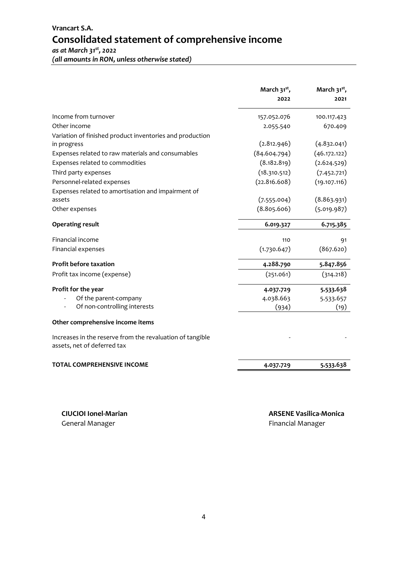|                                                                                          | March 31 <sup>st</sup> ,<br>2022 | March $31^{st}$ ,<br>2021 |
|------------------------------------------------------------------------------------------|----------------------------------|---------------------------|
| Income from turnover                                                                     | 157.052.076                      | 100.117.423               |
| Other income                                                                             | 2.055.540                        | 670.409                   |
| Variation of finished product inventories and production                                 |                                  |                           |
| in progress                                                                              | (2.812.946)                      | (4.832.041)               |
| Expenses related to raw materials and consumables                                        | (84.604.794)                     | (46.172.122)              |
| Expenses related to commodities                                                          | (8.182.819)                      | (2.624.529)               |
| Third party expenses                                                                     | (18.310.512)                     | (7.452.721)               |
| Personnel-related expenses                                                               | (22.816.608)                     | (19.107.116)              |
| Expenses related to amortisation and impairment of                                       |                                  |                           |
| assets                                                                                   | (7.555.004)                      | (8.863.931)               |
| Other expenses                                                                           | (8.805.606)                      | (5.019.987)               |
| <b>Operating result</b>                                                                  | 6.019.327                        | 6.715.385                 |
| Financial income                                                                         | 110                              | 91                        |
| Financial expenses                                                                       | (1.730.647)                      | (867.620)                 |
| <b>Profit before taxation</b>                                                            | 4.288.790                        | 5.847.856                 |
| Profit tax income (expense)                                                              | (251.061)                        | (314.218)                 |
| Profit for the year                                                                      | 4.037.729                        | 5.533.638                 |
| Of the parent-company                                                                    | 4.038.663                        | 5.533.657                 |
| Of non-controlling interests                                                             | (934)                            | (19)                      |
| Other comprehensive income items                                                         |                                  |                           |
| Increases in the reserve from the revaluation of tangible<br>assets, net of deferred tax |                                  |                           |
| <b>TOTAL COMPREHENSIVE INCOME</b>                                                        | 4.037.729                        | 5.533.638                 |
|                                                                                          |                                  |                           |

General Manager **Financial Manager General Manager Financial Manager**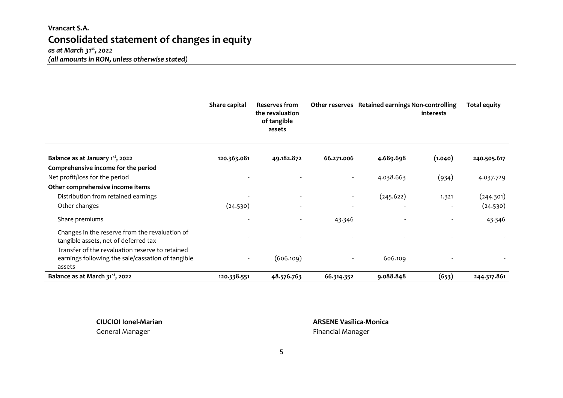## **Vrancart S.A. Consolidated statement of changes in equity**

#### *as at March 31st , 2022 (all amounts in RON, unless otherwise stated)*

|                                                                                                                | Share capital            | <b>Reserves from</b><br>the revaluation<br>of tangible<br>assets |                          | Other reserves Retained earnings Non-controlling | <i>interests</i> | <b>Total equity</b> |
|----------------------------------------------------------------------------------------------------------------|--------------------------|------------------------------------------------------------------|--------------------------|--------------------------------------------------|------------------|---------------------|
| Balance as at January 1 <sup>st</sup> , 2022                                                                   | 120.363.081              | 49.182.872                                                       | 66.271.006               | 4.689.698                                        | (1.040)          | 240.505.617         |
| Comprehensive income for the period                                                                            |                          |                                                                  |                          |                                                  |                  |                     |
| Net profit/loss for the period                                                                                 |                          |                                                                  | $\overline{\phantom{a}}$ | 4.038.663                                        | (934)            | 4.037.729           |
| Other comprehensive income items                                                                               |                          |                                                                  |                          |                                                  |                  |                     |
| Distribution from retained earnings                                                                            |                          |                                                                  | $\overline{\phantom{a}}$ | (245.622)                                        | 1.321            | (244.301)           |
| Other changes                                                                                                  | (24.530)                 |                                                                  | $\overline{\phantom{a}}$ |                                                  |                  | (24.530)            |
| Share premiums                                                                                                 | $\overline{\phantom{a}}$ |                                                                  | 43.346                   |                                                  |                  | 43.346              |
| Changes in the reserve from the revaluation of<br>tangible assets, net of deferred tax                         |                          |                                                                  |                          |                                                  |                  |                     |
| Transfer of the revaluation reserve to retained<br>earnings following the sale/cassation of tangible<br>assets |                          | (606.109)                                                        | $\overline{\phantom{a}}$ | 606.109                                          |                  |                     |
| Balance as at March 31 <sup>st</sup> , 2022                                                                    | 120.338.551              | 48.576.763                                                       | 66.314.352               | 9.088.848                                        | (653)            | 244.317.861         |

**CIUCIOI Ionel-Marian ARSENE Vasilica-Monica** General Manager **Financial Manager Financial Manager Financial Manager**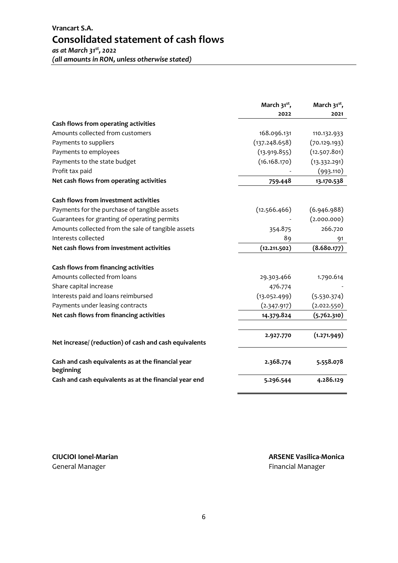|                                                                 | March 31 <sup>st</sup> ,<br>2022 | March 31 <sup>st</sup> ,<br>2021 |
|-----------------------------------------------------------------|----------------------------------|----------------------------------|
| Cash flows from operating activities                            |                                  |                                  |
| Amounts collected from customers                                | 168.096.131                      | 110.132.933                      |
| Payments to suppliers                                           | (137.248.658)                    | (70.129.193)                     |
| Payments to employees                                           | (13.919.855)                     | (12.507.801)                     |
| Payments to the state budget                                    | (16.168.170)                     | (13.332.291)                     |
| Profit tax paid                                                 |                                  | (993.110)                        |
| Net cash flows from operating activities                        | 759.448                          | 13.170.538                       |
| Cash flows from investment activities                           |                                  |                                  |
| Payments for the purchase of tangible assets                    | (12.566.466)                     | (6.946.988)                      |
| Guarantees for granting of operating permits                    |                                  | (2.000.000)                      |
| Amounts collected from the sale of tangible assets              | 354.875                          | 266.720                          |
| Interests collected                                             | 89                               | 91                               |
| Net cash flows from investment activities                       | (12.211.502)                     | (8.680.177)                      |
| Cash flows from financing activities                            |                                  |                                  |
| Amounts collected from loans                                    | 29.303.466                       | 1.790.614                        |
| Share capital increase                                          | 476.774                          |                                  |
| Interests paid and loans reimbursed                             | (13.052.499)                     | (5.530.374)                      |
| Payments under leasing contracts                                | (2.347.917)                      | (2.022.550)                      |
| Net cash flows from financing activities                        | 14.379.824                       | (5.762.310)                      |
|                                                                 | 2.927.770                        | (1.271.949)                      |
| Net increase/ (reduction) of cash and cash equivalents          |                                  |                                  |
| Cash and cash equivalents as at the financial year<br>beginning | 2.368.774                        | 5.558.078                        |
| Cash and cash equivalents as at the financial year end          | 5.296.544                        | 4.286.129                        |

General Manager **Financial Manager Financial Manager Financial Manager**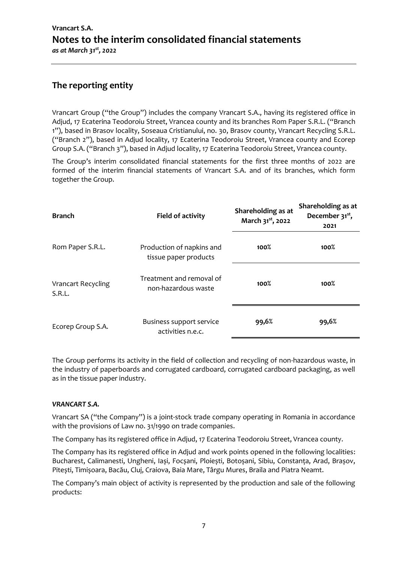## **The reporting entity**

Vrancart Group ("the Group") includes the company Vrancart S.A., having its registered office in Adjud, 17 Ecaterina Teodoroiu Street, Vrancea county and its branches Rom Paper S.R.L. ("Branch 1"), based in Brasov locality, Soseaua Cristianului, no. 30, Brasov county, Vrancart Recycling S.R.L. ("Branch 2"), based in Adjud locality, 17 Ecaterina Teodoroiu Street, Vrancea county and Ecorep Group S.A. ("Branch 3"), based in Adjud locality, 17 Ecaterina Teodoroiu Street, Vrancea county.

The Group's interim consolidated financial statements for the first three months of 2022 are formed of the interim financial statements of Vrancart S.A. and of its branches, which form together the Group.

| <b>Branch</b>                       | <b>Field of activity</b>                           | Shareholding as at<br>March 31 <sup>st</sup> , 2022 | Shareholding as at<br>December 31 <sup>st</sup> ,<br>2021 |
|-------------------------------------|----------------------------------------------------|-----------------------------------------------------|-----------------------------------------------------------|
| Rom Paper S.R.L.                    | Production of napkins and<br>tissue paper products | 100%                                                | 100%                                                      |
| <b>Vrancart Recycling</b><br>S.R.L. | Treatment and removal of<br>non-hazardous waste    | 100%                                                | $100\%$                                                   |
| Ecorep Group S.A.                   | Business support service<br>activities n.e.c.      | 99,6%                                               | 99,6%                                                     |

The Group performs its activity in the field of collection and recycling of non-hazardous waste, in the industry of paperboards and corrugated cardboard, corrugated cardboard packaging, as well as in the tissue paper industry.

#### *VRANCART S.A.*

Vrancart SA ("the Company") is a joint-stock trade company operating in Romania in accordance with the provisions of Law no. 31/1990 on trade companies.

The Company has its registered office in Adjud, 17 Ecaterina Teodoroiu Street, Vrancea county.

The Company has its registered office in Adjud and work points opened in the following localities: Bucharest, Calimanesti, Ungheni, Iași, Focșani, Ploiești, Botoșani, Sibiu, Constanța, Arad, Brașov, Pitești, Timișoara, Bacău, Cluj, Craiova, Baia Mare, Târgu Mures, Braila and Piatra Neamt.

The Company's main object of activity is represented by the production and sale of the following products: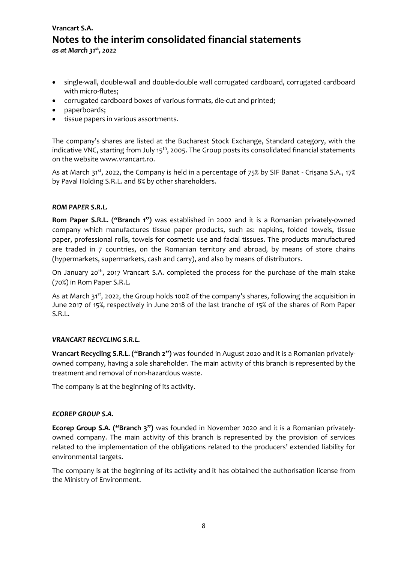## **Vrancart S.A. Notes to the interim consolidated financial statements**  *as at March 31st , 2022*

- single-wall, double-wall and double-double wall corrugated cardboard, corrugated cardboard with micro-flutes;
- corrugated cardboard boxes of various formats, die-cut and printed;
- paperboards;
- tissue papers in various assortments.

The company's shares are listed at the Bucharest Stock Exchange, Standard category, with the indicative VNC, starting from July 15<sup>th</sup>, 2005. The Group posts its consolidated financial statements on the website www.vrancart.ro.

As at March 31<sup>st</sup>, 2022, the Company is held in a percentage of 75% by SIF Banat - Crișana S.A., 17% by Paval Holding S.R.L. and 8% by other shareholders.

#### *ROM PAPER S.R.L.*

**Rom Paper S.R.L. ("Branch 1")** was established in 2002 and it is a Romanian privately-owned company which manufactures tissue paper products, such as: napkins, folded towels, tissue paper, professional rolls, towels for cosmetic use and facial tissues. The products manufactured are traded in 7 countries, on the Romanian territory and abroad, by means of store chains (hypermarkets, supermarkets, cash and carry), and also by means of distributors.

On January 20<sup>th</sup>, 2017 Vrancart S.A. completed the process for the purchase of the main stake (70%) in Rom Paper S.R.L.

As at March 31<sup>st</sup>, 2022, the Group holds 100% of the company's shares, following the acquisition in June 2017 of 15%, respectively in June 2018 of the last tranche of 15% of the shares of Rom Paper S.R.L.

#### *VRANCART RECYCLING S.R.L.*

**Vrancart Recycling S.R.L. ("Branch 2")** was founded in August 2020 and it is a Romanian privatelyowned company, having a sole shareholder. The main activity of this branch is represented by the treatment and removal of non-hazardous waste.

The company is at the beginning of its activity.

#### *ECOREP GROUP S.A.*

**Ecorep Group S.A. ("Branch 3")** was founded in November 2020 and it is a Romanian privatelyowned company. The main activity of this branch is represented by the provision of services related to the implementation of the obligations related to the producers' extended liability for environmental targets.

The company is at the beginning of its activity and it has obtained the authorisation license from the Ministry of Environment.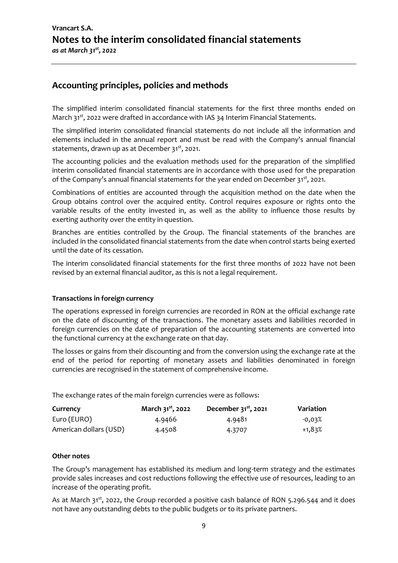#### **Accounting principles, policies and methods**

The simplified interim consolidated financial statements for the first three months ended on March  $31<sup>st</sup>$ , 2022 were drafted in accordance with IAS 34 Interim Financial Statements.

The simplified interim consolidated financial statements do not include all the information and elements included in the annual report and must be read with the Company's annual financial statements, drawn up as at December  $31^{st}$ , 2021.

The accounting policies and the evaluation methods used for the preparation of the simplified interim consolidated financial statements are in accordance with those used for the preparation of the Company's annual financial statements for the year ended on December 31<sup>st</sup>, 2021.

Combinations of entities are accounted through the acquisition method on the date when the Group obtains control over the acquired entity. Control requires exposure or rights onto the variable results of the entity invested in, as well as the ability to influence those results by exerting authority over the entity in question.

Branches are entities controlled by the Group. The financial statements of the branches are included in the consolidated financial statements from the date when control starts being exerted until the date of its cessation.

The interim consolidated financial statements for the first three months of 2022 have not been revised by an external financial auditor, as this is not a legal requirement.

#### **Transactions in foreign currency**

The operations expressed in foreign currencies are recorded in RON at the official exchange rate on the date of discounting of the transactions. The monetary assets and liabilities recorded in foreign currencies on the date of preparation of the accounting statements are converted into the functional currency at the exchange rate on that day.

The losses or gains from their discounting and from the conversion using the exchange rate at the end of the period for reporting of monetary assets and liabilities denominated in foreign currencies are recognised in the statement of comprehensive income.

The exchange rates of the main foreign currencies were as follows:

| Currency               | March 31 <sup>st</sup> , 2022 | December $31^{st}$ , 2021 | Variation |
|------------------------|-------------------------------|---------------------------|-----------|
| Euro (EURO)            | 4.9466                        | 4.9481                    | $-0.03\%$ |
| American dollars (USD) | 4.4508                        | 4.3707                    | +1,83%    |

#### **Other notes**

The Group's management has established its medium and long-term strategy and the estimates provide sales increases and cost reductions following the effective use of resources, leading to an increase of the operating profit.

As at March  $31^{st}$ , 2022, the Group recorded a positive cash balance of RON 5.296.544 and it does not have any outstanding debts to the public budgets or to its private partners.